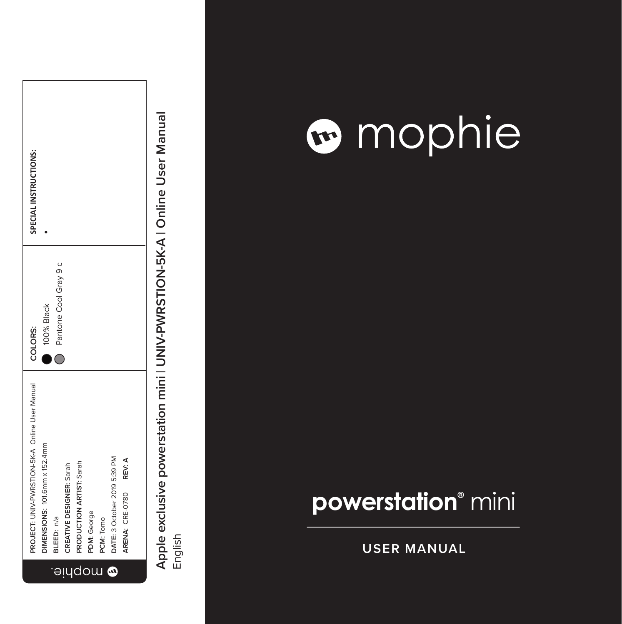| SPECIAL INSTRUCTIONS:                          |                               |                         |                                |                          |                    |                |                                   |                           |  |
|------------------------------------------------|-------------------------------|-------------------------|--------------------------------|--------------------------|--------------------|----------------|-----------------------------------|---------------------------|--|
| COLORS:                                        | 100% Black                    | Pantone Cool Gray 9 c   |                                |                          |                    |                |                                   |                           |  |
| PROJECT: UNIV-PWRSTION-5K-A Online User Manual | DIMENSIONS: 101.6mm x 152.4mm | BLEED: n/a<br>$\ominus$ | CREATIVE DESIGNER: Sarah<br>ļЧ | PRODUCTION ARTIST: Sarah | PDM: George<br>dou | PCM: Tomo<br>J | DATE: 3 October 2019 5:39 PM<br>٥ | REV: A<br>ARENA: CRE-0780 |  |

### mophie

### **powerstation ®** mini

**USER MANUAL**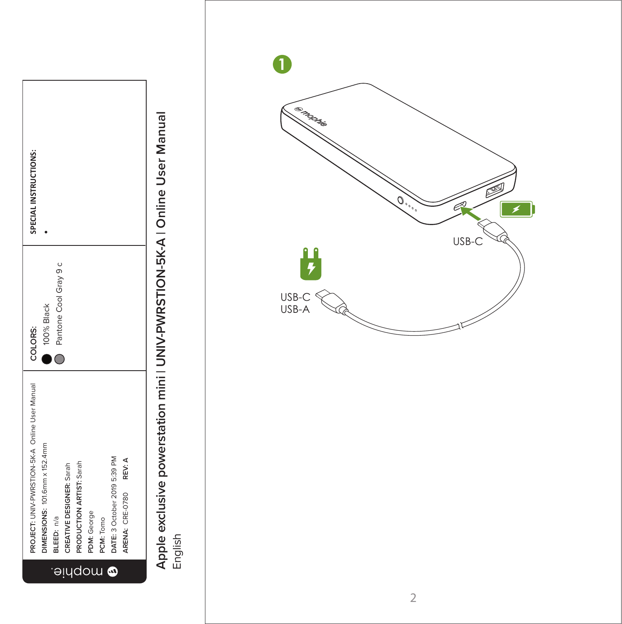



USB-C USB-A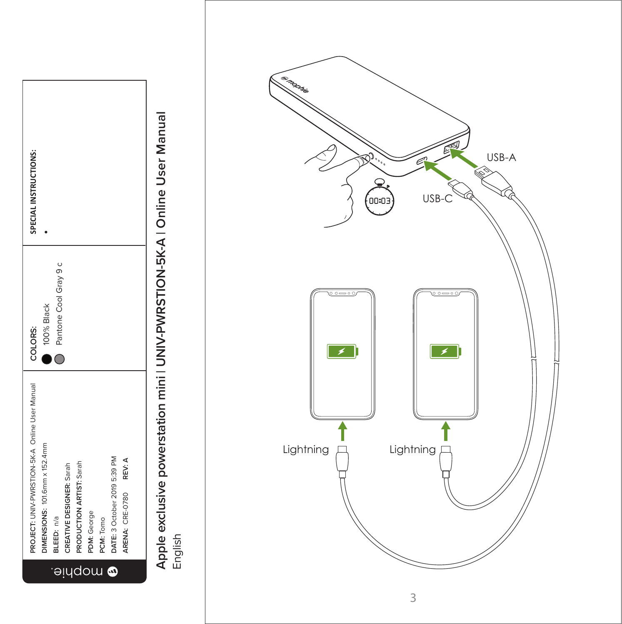

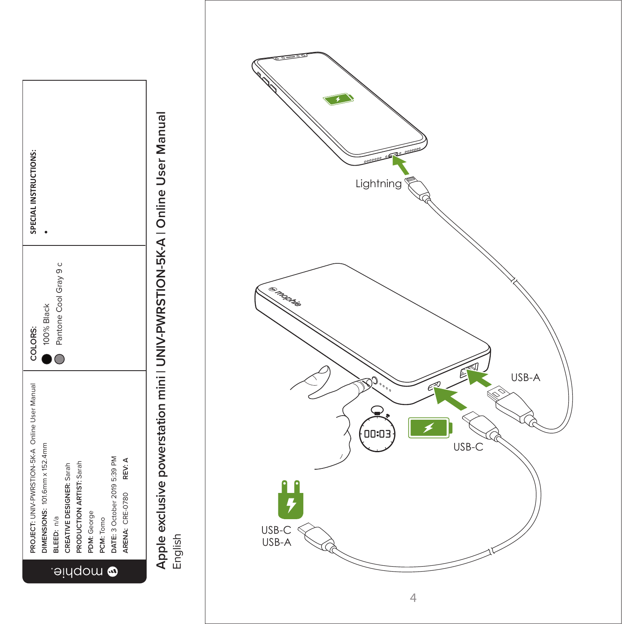

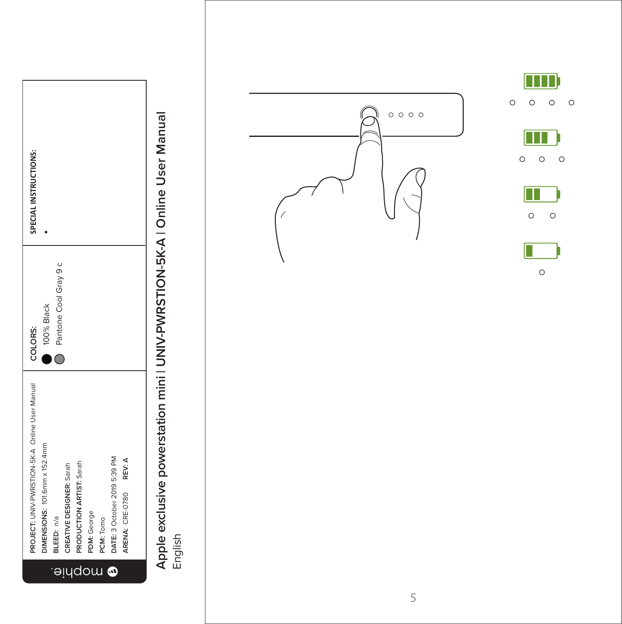|            | PROJECT: UNIV-PWRSTION-5K-A Online User Manual | COLORS:               | SPECIAL INSTRUCTIONS: |
|------------|------------------------------------------------|-----------------------|-----------------------|
|            | DIMENSIONS: 101.6mm x 152.4mm                  | 100% Black            |                       |
| $\Theta$   | BLEED: n/a                                     | Pantone Cool Gray 9 c |                       |
| <u>iyd</u> | CREATIVE DESIGNER: Sarah                       |                       |                       |
|            | PRODUCTION ARTIST: Sarah                       |                       |                       |
| ow         | PDM: George                                    |                       |                       |
|            | PCM: Tomo                                      |                       |                       |
| $\bullet$  | DATE: 3 October 2019 5:39 PM                   |                       |                       |
|            | ARENA: CRE-0780 REV: A                         |                       |                       |
|            |                                                |                       |                       |

## $\Box$ **Apple exclusive powerstation mini | UNIV-PWRSTION-5K-A | Online User Manual** English

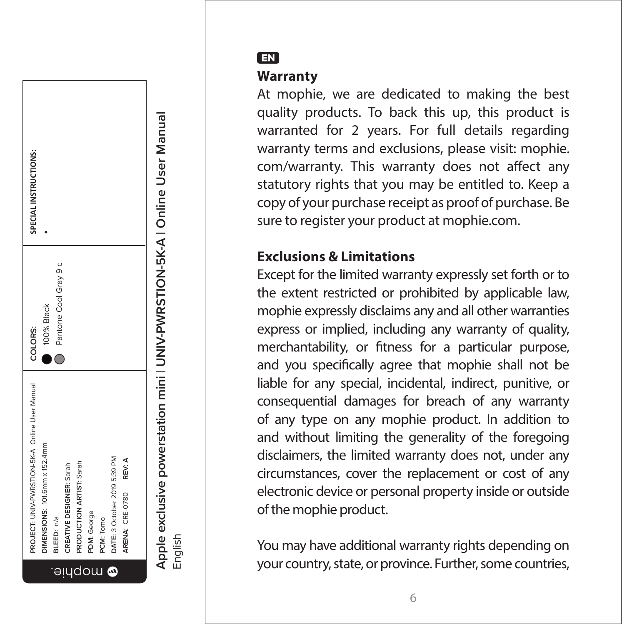

#### EN

#### **Warranty**

At mophie, we are dedicated to making the best quality products. To back this up, this product is warranted for 2 years. For full details regarding warranty terms and exclusions, please visit: mophie. com/warranty. This warranty does not affect any statutory rights that you may be entitled to. Keep a copy of your purchase receipt as proof of purchase. Be sure to register your product at mophie.com.

#### **Exclusions & Limitations**

Except for the limited warranty expressly set forth or to the extent restricted or prohibited by applicable law, mophie expressly disclaims any and all other warranties express or implied, including any warranty of quality, merchantability, or fitness for a particular purpose, and you specifically agree that mophie shall not be liable for any special, incidental, indirect, punitive, or consequential damages for breach of any warranty of any type on any mophie product. In addition to and without limiting the generality of the foregoing disclaimers, the limited warranty does not, under any circumstances, cover the replacement or cost of any electronic device or personal property inside or outside of the mophie product.

You may have additional warranty rights depending on your country, state, or province. Further, some countries,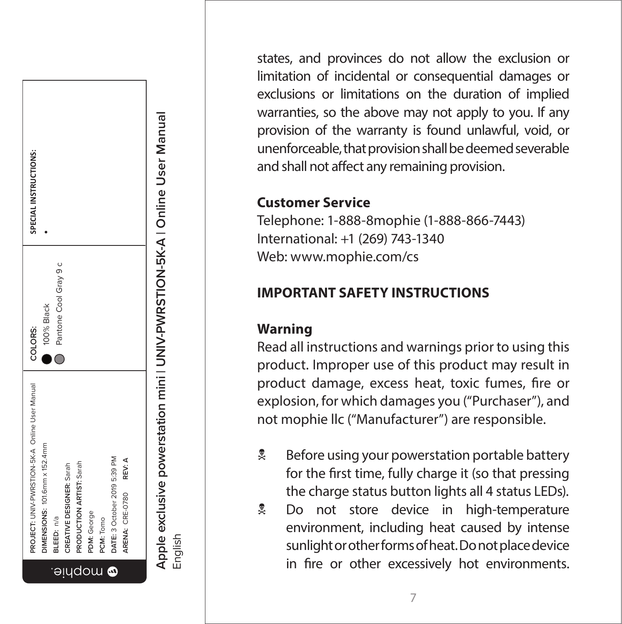

states, and provinces do not allow the exclusion or limitation of incidental or consequential damages or exclusions or limitations on the duration of implied warranties, so the above may not apply to you. If any provision of the warranty is found unlawful, void, or unenforceable, that provision shall be deemed severable and shall not affect any remaining provision.

#### **Customer Service**

Telephone: 1-888-8mophie (1-888-866-7443) International: +1 (269) 743-1340 Web: www.mophie.com/cs

#### **IMPORTANT SAFETY INSTRUCTIONS**

#### **Warning**

Read all instructions and warnings prior to using this product. Improper use of this product may result in product damage, excess heat, toxic fumes, fire or explosion, for which damages you ("Purchaser"), and not mophie llc ("Manufacturer") are responsible.

- $\frac{1}{2}$  Before using your powerstation portable battery for the first time, fully charge it (so that pressing the charge status button lights all 4 status LEDs).
- **2** Do not store device in high-temperature environment, including heat caused by intense sunlight or other forms of heat. Do not place device in fire or other excessively hot environments.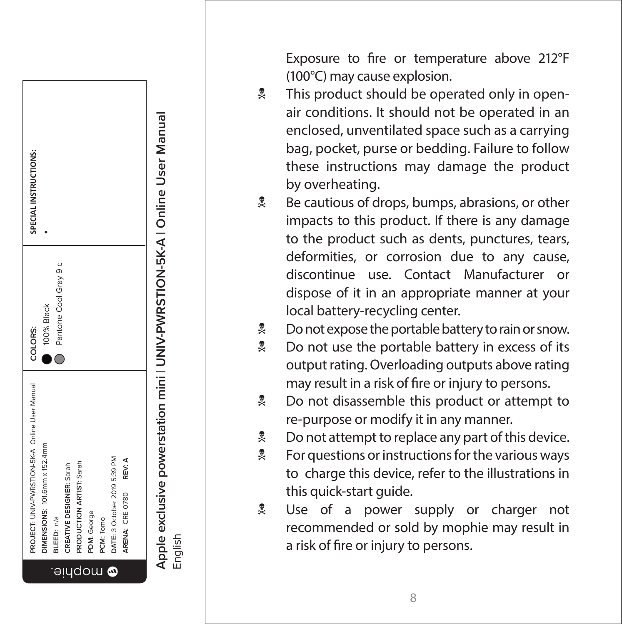

Exposure to fire or temperature above 212°F (100°C) may cause explosion.

- **A** This product should be operated only in openair conditions. It should not be operated in an enclosed, unventilated space such as a carrying bag, pocket, purse or bedding. Failure to follow these instructions may damage the product by overheating.
- $\stackrel{\bullet}{\sim}$  Be cautious of drops, bumps, abrasions, or other impacts to this product. If there is any damage to the product such as dents, punctures, tears, deformities, or corrosion due to any cause, discontinue use. Contact Manufacturer or dispose of it in an appropriate manner at your local battery-recycling center.
- $\stackrel{\bullet}{\sim}$  Do not expose the portable battery to rain or snow.
- **No not use the portable battery in excess of its** output rating. Overloading outputs above rating may result in a risk of fire or injury to persons.
- **2** Do not disassemble this product or attempt to re-purpose or modify it in any manner.
- $\stackrel{\bullet}{\sim}$  Do not attempt to replace any part of this device.
- $\frac{1}{2}$  For questions or instructions for the various ways to charge this device, refer to the illustrations in this quick-start guide.
- **Q** Use of a power supply or charger not recommended or sold by mophie may result in a risk of fire or injury to persons.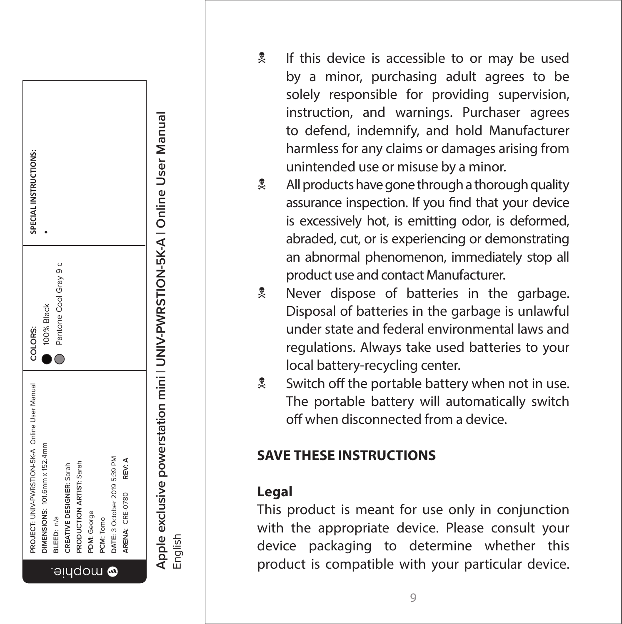

- **Apple exclusive powerstation mini | UNIV-PWRSTION-5K-A | Online User Manual** Apple exclusive powerstation mini I UNIV-PWRSTION-5K-A I Online User Manual<br>English
	-
- If this device is accessible to or may be used by a minor, purchasing adult agrees to be solely responsible for providing supervision, instruction, and warnings. Purchaser agrees to defend, indemnify, and hold Manufacturer harmless for any claims or damages arising from unintended use or misuse by a minor.
- $\stackrel{\bullet}{\sim}$  All products have gone through a thorough quality assurance inspection. If you find that your device is excessively hot, is emitting odor, is deformed, abraded, cut, or is experiencing or demonstrating an abnormal phenomenon, immediately stop all product use and contact Manufacturer.
- **R** Never dispose of batteries in the garbage. Disposal of batteries in the garbage is unlawful under state and federal environmental laws and regulations. Always take used batteries to your local battery-recycling center.
- $\frac{1}{2}$  Switch off the portable battery when not in use. The portable battery will automatically switch off when disconnected from a device.

#### **SAVE THESE INSTRUCTIONS**

#### **Legal**

This product is meant for use only in conjunction with the appropriate device. Please consult your device packaging to determine whether this product is compatible with your particular device.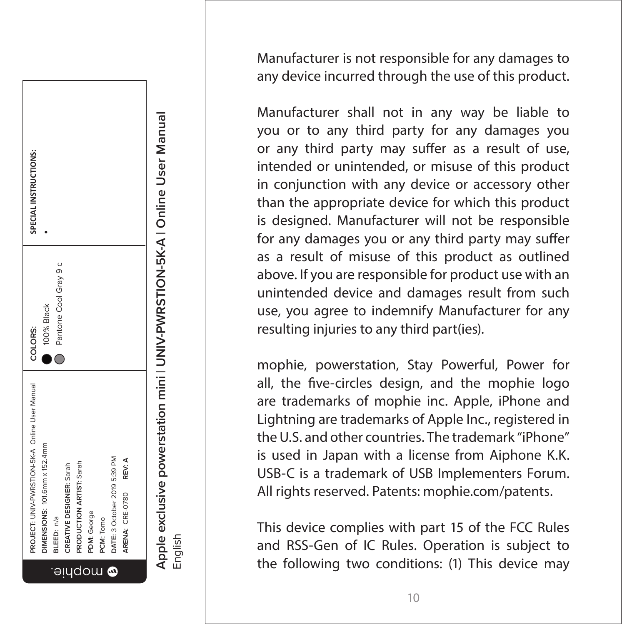

Manufacturer is not responsible for any damages to any device incurred through the use of this product.

Manufacturer shall not in any way be liable to you or to any third party for any damages you or any third party may suffer as a result of use, intended or unintended, or misuse of this product in conjunction with any device or accessory other than the appropriate device for which this product is designed. Manufacturer will not be responsible for any damages you or any third party may suffer as a result of misuse of this product as outlined above. If you are responsible for product use with an unintended device and damages result from such use, you agree to indemnify Manufacturer for any resulting injuries to any third part(ies).

mophie, powerstation, Stay Powerful, Power for all, the five-circles design, and the mophie logo are trademarks of mophie inc. Apple, iPhone and Lightning are trademarks of Apple Inc., registered in the U.S. and other countries. The trademark "iPhone" is used in Japan with a license from Aiphone K.K. USB-C is a trademark of USB Implementers Forum. All rights reserved. Patents: mophie.com/patents.

This device complies with part 15 of the FCC Rules and RSS-Gen of IC Rules. Operation is subject to the following two conditions: (1) This device may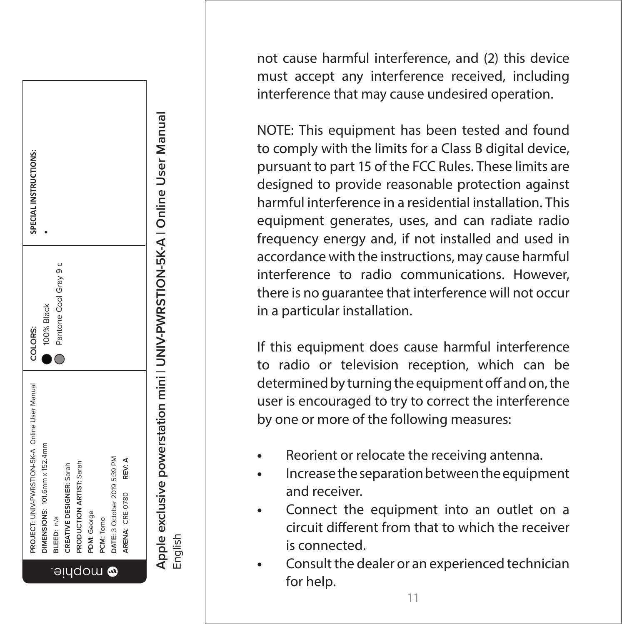

not cause harmful interference, and (2) this device must accept any interference received, including interference that may cause undesired operation.

NOTE: This equipment has been tested and found to comply with the limits for a Class B digital device, pursuant to part 15 of the FCC Rules. These limits are designed to provide reasonable protection against harmful interference in a residential installation. This equipment generates, uses, and can radiate radio frequency energy and, if not installed and used in accordance with the instructions, may cause harmful interference to radio communications. However, there is no guarantee that interference will not occur in a particular installation.

If this equipment does cause harmful interference to radio or television reception, which can be determined by turning the equipment off and on, the user is encouraged to try to correct the interference by one or more of the following measures:

- **•** Reorient or relocate the receiving antenna.
- **•** Increase the separation between the equipment and receiver.
- **•** Connect the equipment into an outlet on a circuit different from that to which the receiver is connected.
- **•** Consult the dealer or an experienced technician for help.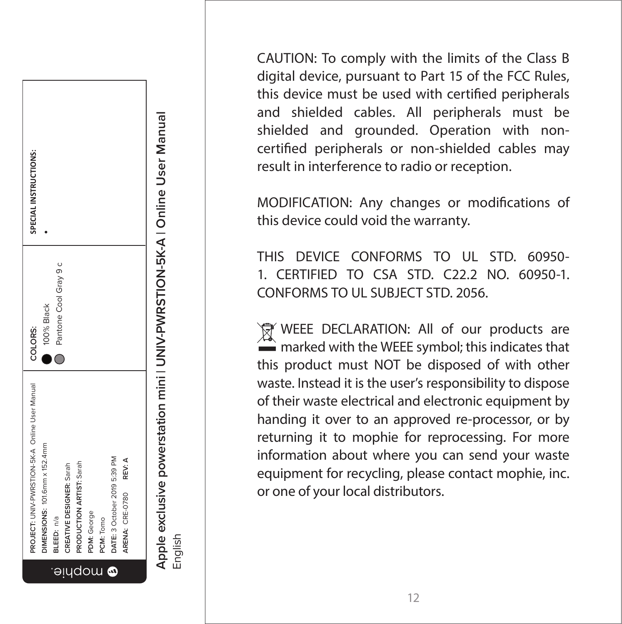

English

CAUTION: To comply with the limits of the Class B digital device, pursuant to Part 15 of the FCC Rules, this device must be used with certified peripherals and shielded cables. All peripherals must be shielded and grounded. Operation with noncertified peripherals or non-shielded cables may result in interference to radio or reception.

MODIFICATION: Any changes or modifications of this device could void the warranty.

THIS DEVICE CONFORMS TO UL STD. 60950-1. CERTIFIED TO CSA STD. C22.2 NO. 60950-1. CONFORMS TO UL SUBJECT STD. 2056.

WEEE DECLARATION: All of our products are  $\tilde{\phantom{a}}$  marked with the WEEE symbol; this indicates that this product must NOT be disposed of with other waste. Instead it is the user's responsibility to dispose of their waste electrical and electronic equipment by handing it over to an approved re-processor, or by returning it to mophie for reprocessing. For more information about where you can send your waste equipment for recycling, please contact mophie, inc. or one of your local distributors.